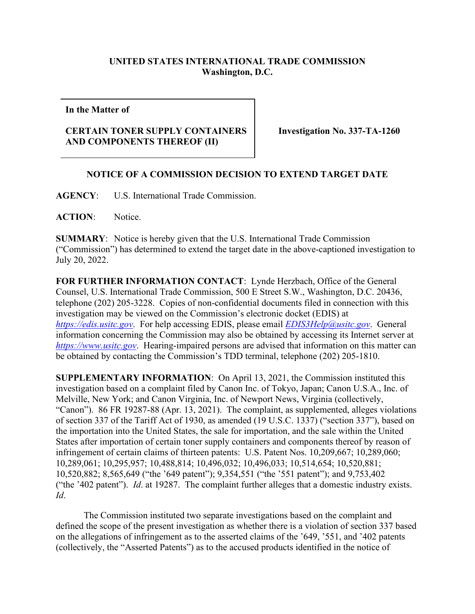## **UNITED STATES INTERNATIONAL TRADE COMMISSION Washington, D.C.**

**In the Matter of** 

## **CERTAIN TONER SUPPLY CONTAINERS AND COMPONENTS THEREOF (II)**

**Investigation No. 337-TA-1260** 

## **NOTICE OF A COMMISSION DECISION TO EXTEND TARGET DATE**

**AGENCY**: U.S. International Trade Commission.

**ACTION**: Notice.

**SUMMARY**: Notice is hereby given that the U.S. International Trade Commission ("Commission") has determined to extend the target date in the above-captioned investigation to July 20, 2022.

**FOR FURTHER INFORMATION CONTACT**: Lynde Herzbach, Office of the General Counsel, U.S. International Trade Commission, 500 E Street S.W., Washington, D.C. 20436, telephone (202) 205-3228. Copies of non-confidential documents filed in connection with this investigation may be viewed on the Commission's electronic docket (EDIS) at *[https://edis.usitc.gov](https://edis.usitc.gov/)*. For help accessing EDIS, please email *[EDIS3Help@usitc.gov](mailto:EDIS3Help@usitc.gov)*. General information concerning the Commission may also be obtained by accessing its Internet server at *[https://www.usitc.gov](https://www.usitc.gov/)*. Hearing-impaired persons are advised that information on this matter can be obtained by contacting the Commission's TDD terminal, telephone (202) 205-1810.

**SUPPLEMENTARY INFORMATION**: On April 13, 2021, the Commission instituted this investigation based on a complaint filed by Canon Inc. of Tokyo, Japan; Canon U.S.A., Inc. of Melville, New York; and Canon Virginia, Inc. of Newport News, Virginia (collectively, "Canon"). 86 FR 19287-88 (Apr. 13, 2021). The complaint, as supplemented, alleges violations of section 337 of the Tariff Act of 1930, as amended (19 U.S.C. 1337) ("section 337"), based on the importation into the United States, the sale for importation, and the sale within the United States after importation of certain toner supply containers and components thereof by reason of infringement of certain claims of thirteen patents: U.S. Patent Nos. 10,209,667; 10,289,060; 10,289,061; 10,295,957; 10,488,814; 10,496,032; 10,496,033; 10,514,654; 10,520,881; 10,520,882; 8,565,649 ("the '649 patent"); 9,354,551 ("the '551 patent"); and 9,753,402 ("the '402 patent"). *Id*. at 19287. The complaint further alleges that a domestic industry exists. *Id*.

The Commission instituted two separate investigations based on the complaint and defined the scope of the present investigation as whether there is a violation of section 337 based on the allegations of infringement as to the asserted claims of the '649, '551, and '402 patents (collectively, the "Asserted Patents") as to the accused products identified in the notice of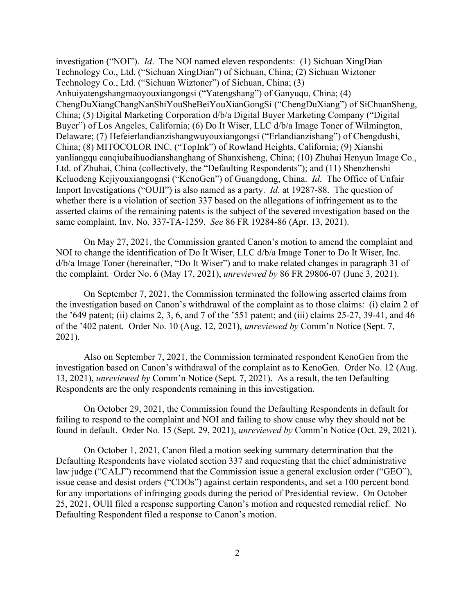investigation ("NOI"). *Id*. The NOI named eleven respondents: (1) Sichuan XingDian Technology Co., Ltd. ("Sichuan XingDian") of Sichuan, China; (2) Sichuan Wiztoner Technology Co., Ltd. ("Sichuan Wiztoner") of Sichuan, China; (3) Anhuiyatengshangmaoyouxiangongsi ("Yatengshang") of Ganyuqu, China; (4) ChengDuXiangChangNanShiYouSheBeiYouXianGongSi ("ChengDuXiang") of SiChuanSheng, China; (5) Digital Marketing Corporation d/b/a Digital Buyer Marketing Company ("Digital Buyer") of Los Angeles, California; (6) Do It Wiser, LLC d/b/a Image Toner of Wilmington, Delaware; (7) Hefeierlandianzishangwuyouxiangongsi ("Erlandianzishang") of Chengdushi, China; (8) MITOCOLOR INC. ("TopInk") of Rowland Heights, California; (9) Xianshi yanliangqu canqiubaihuodianshanghang of Shanxisheng, China; (10) Zhuhai Henyun Image Co., Ltd. of Zhuhai, China (collectively, the "Defaulting Respondents"); and (11) Shenzhenshi Keluodeng Kejiyouxiangognsi ("KenoGen") of Guangdong, China. *Id*. The Office of Unfair Import Investigations ("OUII") is also named as a party. *Id*. at 19287-88. The question of whether there is a violation of section 337 based on the allegations of infringement as to the asserted claims of the remaining patents is the subject of the severed investigation based on the same complaint, Inv. No. 337-TA-1259. *See* 86 FR 19284-86 (Apr. 13, 2021).

On May 27, 2021, the Commission granted Canon's motion to amend the complaint and NOI to change the identification of Do It Wiser, LLC d/b/a Image Toner to Do It Wiser, Inc. d/b/a Image Toner (hereinafter, "Do It Wiser") and to make related changes in paragraph 31 of the complaint. Order No. 6 (May 17, 2021), *unreviewed by* 86 FR 29806-07 (June 3, 2021).

On September 7, 2021, the Commission terminated the following asserted claims from the investigation based on Canon's withdrawal of the complaint as to those claims: (i) claim 2 of the '649 patent; (ii) claims 2, 3, 6, and 7 of the '551 patent; and (iii) claims 25-27, 39-41, and 46 of the '402 patent. Order No. 10 (Aug. 12, 2021), *unreviewed by* Comm'n Notice (Sept. 7, 2021).

Also on September 7, 2021, the Commission terminated respondent KenoGen from the investigation based on Canon's withdrawal of the complaint as to KenoGen. Order No. 12 (Aug. 13, 2021), *unreviewed by* Comm'n Notice (Sept. 7, 2021). As a result, the ten Defaulting Respondents are the only respondents remaining in this investigation.

On October 29, 2021, the Commission found the Defaulting Respondents in default for failing to respond to the complaint and NOI and failing to show cause why they should not be found in default. Order No. 15 (Sept. 29, 2021), *unreviewed by* Comm'n Notice (Oct. 29, 2021).

On October 1, 2021, Canon filed a motion seeking summary determination that the Defaulting Respondents have violated section 337 and requesting that the chief administrative law judge ("CALJ") recommend that the Commission issue a general exclusion order ("GEO"), issue cease and desist orders ("CDOs") against certain respondents, and set a 100 percent bond for any importations of infringing goods during the period of Presidential review. On October 25, 2021, OUII filed a response supporting Canon's motion and requested remedial relief. No Defaulting Respondent filed a response to Canon's motion.